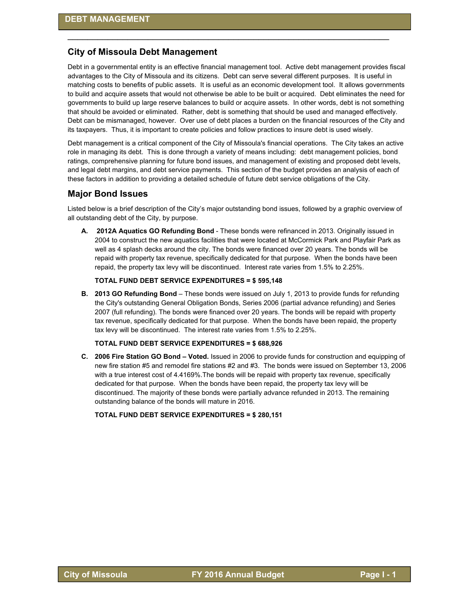## **City of Missoula Debt Management**

Debt in a governmental entity is an effective financial management tool. Active debt management provides fiscal advantages to the City of Missoula and its citizens. Debt can serve several different purposes. It is useful in matching costs to benefits of public assets. It is useful as an economic development tool. It allows governments to build and acquire assets that would not otherwise be able to be built or acquired. Debt eliminates the need for governments to build up large reserve balances to build or acquire assets. In other words, debt is not something that should be avoided or eliminated. Rather, debt is something that should be used and managed effectively. Debt can be mismanaged, however. Over use of debt places a burden on the financial resources of the City and its taxpayers. Thus, it is important to create policies and follow practices to insure debt is used wisely.

\_\_\_\_\_\_\_\_\_\_\_\_\_\_\_\_\_\_\_\_\_\_\_\_\_\_\_\_\_\_\_\_\_\_\_\_\_\_\_\_\_\_\_\_\_\_\_\_\_\_\_\_\_\_\_\_\_\_\_\_\_\_\_\_

Debt management is a critical component of the City of Missoula's financial operations. The City takes an active role in managing its debt. This is done through a variety of means including: debt management policies, bond ratings, comprehensive planning for future bond issues, and management of existing and proposed debt levels, and legal debt margins, and debt service payments. This section of the budget provides an analysis of each of these factors in addition to providing a detailed schedule of future debt service obligations of the City.

## **Major Bond Issues**

Listed below is a brief description of the City's major outstanding bond issues, followed by a graphic overview of all outstanding debt of the City, by purpose.

**A. 2012A Aquatics GO Refunding Bond** - These bonds were refinanced in 2013. Originally issued in 2004 to construct the new aquatics facilities that were located at McCormick Park and Playfair Park as well as 4 splash decks around the city. The bonds were financed over 20 years. The bonds will be repaid with property tax revenue, specifically dedicated for that purpose. When the bonds have been repaid, the property tax levy will be discontinued. Interest rate varies from 1.5% to 2.25%.

#### **TOTAL FUND DEBT SERVICE EXPENDITURES = \$ 595,148**

**B. 2013 GO Refunding Bond** – These bonds were issued on July 1, 2013 to provide funds for refunding the City's outstanding General Obligation Bonds, Series 2006 (partial advance refunding) and Series 2007 (full refunding). The bonds were financed over 20 years. The bonds will be repaid with property tax revenue, specifically dedicated for that purpose. When the bonds have been repaid, the property tax levy will be discontinued. The interest rate varies from 1.5% to 2.25%.

#### **TOTAL FUND DEBT SERVICE EXPENDITURES = \$ 688,926**

**C. 2006 Fire Station GO Bond – Voted.** Issued in 2006 to provide funds for construction and equipping of new fire station #5 and remodel fire stations #2 and #3. The bonds were issued on September 13, 2006 with a true interest cost of 4.4169%. The bonds will be repaid with property tax revenue, specifically dedicated for that purpose. When the bonds have been repaid, the property tax levy will be discontinued. The majority of these bonds were partially advance refunded in 2013. The remaining outstanding balance of the bonds will mature in 2016.

**TOTAL FUND DEBT SERVICE EXPENDITURES = \$ 280,151**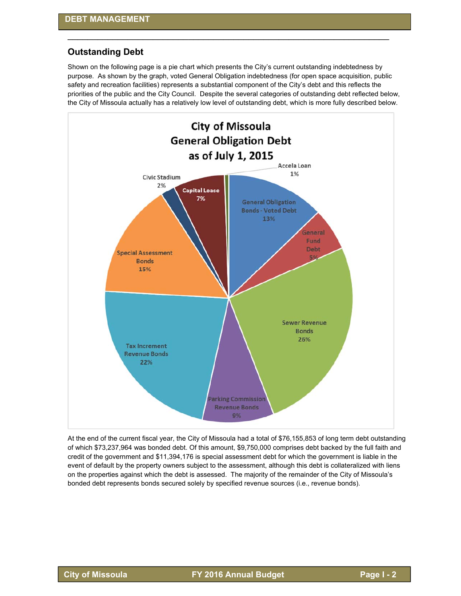## **Outstanding Debt**

Shown on the following page is a pie chart which presents the City's current outstanding indebtedness by purpose. As shown by the graph, voted General Obligation indebtedness (for open space acquisition, public safety and recreation facilities) represents a substantial component of the City's debt and this reflects the priorities of the public and the City Council. Despite the several categories of outstanding debt reflected below, the City of Missoula actually has a relatively low level of outstanding debt, which is more fully described below.

\_\_\_\_\_\_\_\_\_\_\_\_\_\_\_\_\_\_\_\_\_\_\_\_\_\_\_\_\_\_\_\_\_\_\_\_\_\_\_\_\_\_\_\_\_\_\_\_\_\_\_\_\_\_\_\_\_\_\_\_\_\_\_\_



At the end of the current fiscal year, the City of Missoula had a total of \$76,155,853 of long term debt outstanding of which \$73,237,964 was bonded debt. Of this amount, \$9,750,000 comprises debt backed by the full faith and credit of the government and \$11,394,176 is special assessment debt for which the government is liable in the event of default by the property owners subject to the assessment, although this debt is collateralized with liens on the properties against which the debt is assessed. The majority of the remainder of the City of Missoula's bonded debt represents bonds secured solely by specified revenue sources (i.e., revenue bonds).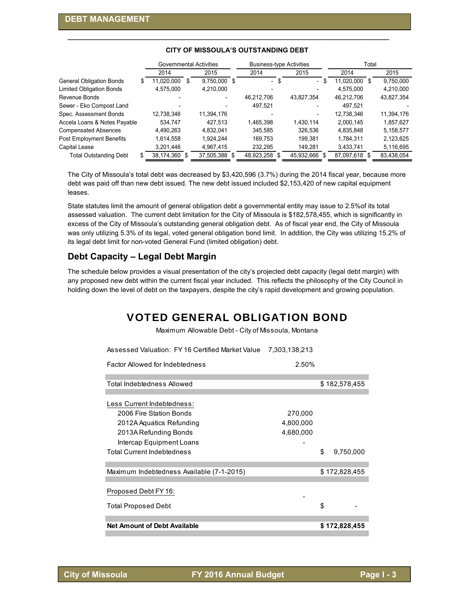| 2014       |   | 2015          |                         | 2014                           | 2015       |                                 | 2014       | 2015                                    |
|------------|---|---------------|-------------------------|--------------------------------|------------|---------------------------------|------------|-----------------------------------------|
| 11,020,000 | S |               |                         | \$<br>$\overline{\phantom{0}}$ |            |                                 |            | 9,750,000                               |
| 4,575,000  |   | 4,210,000     |                         |                                |            |                                 | 4.575.000  | 4,210,000                               |
|            |   |               |                         | 46,212,706                     | 43,827,354 |                                 | 46.212.706 | 43,827,354                              |
|            |   |               |                         | 497,521                        |            |                                 | 497.521    |                                         |
| 12,738,346 |   | 11,394,176    |                         |                                |            |                                 | 12,738,346 | 11,394,176                              |
| 534.747    |   | 427.513       |                         | 1,465,398                      | 1,430,114  |                                 | 2,000,145  | 1,857,627                               |
| 4,490,263  |   | 4,832,041     |                         | 345,585                        | 326,536    |                                 | 4,835,848  | 5,158,577                               |
| 1,614,558  |   | 1.924.244     |                         | 169.753                        | 199.381    |                                 | 1,784,311  | 2,123,625                               |
| 3,201,446  |   | 4,967,415     |                         | 232.295                        | 149.281    |                                 | 3,433,741  | 5,116,695                               |
|            |   |               |                         | 48,923,258 \$                  | 45,932,666 |                                 |            | 83,438,054                              |
| æ          |   | 38,174,360 \$ | Governmental Activities | 9,750,000 \$<br>37,505,388 \$  |            | <b>Business-type Activities</b> | - \$       | Total<br>11,020,000 \$<br>87,097,618 \$ |

## **CITY OF MISSOULA'S OUTSTANDING DEBT**

\_\_\_\_\_\_\_\_\_\_\_\_\_\_\_\_\_\_\_\_\_\_\_\_\_\_\_\_\_\_\_\_\_\_\_\_\_\_\_\_\_\_\_\_\_\_\_\_\_\_\_\_\_\_\_\_\_\_\_\_\_\_\_\_

The City of Missoula's total debt was decreased by \$3,420,596 (3.7%) during the 2014 fiscal year, because more debt was paid off than new debt issued. The new debt issued included \$2,153,420 of new capital equipment leases.

State statutes limit the amount of general obligation debt a governmental entity may issue to 2.5%of its total assessed valuation. The current debt limitation for the City of Missoula is \$182,578,455, which is significantly in excess of the City of Missoula's outstanding general obligation debt. As of fiscal year end, the City of Missoula was only utilizing 5.3% of its legal, voted general obligation bond limit. In addition, the City was utilizing 15.2% of its legal debt limit for non-voted General Fund (limited obligation) debt.

# **Debt Capacity – Legal Debt Margin**

The schedule below provides a visual presentation of the city's projected debt capacity (legal debt margin) with any proposed new debt within the current fiscal year included. This reflects the philosophy of the City Council in holding down the level of debt on the taxpayers, despite the city's rapid development and growing population.

# VOTED GENERAL OBLIGATION BOND

Maximum Allowable Debt - City of Missoula, Montana

| Assessed Valuation: FY 16 Certified Market Value | 7,303,138,213 |                 |  |
|--------------------------------------------------|---------------|-----------------|--|
| Factor Allowed for Indebtedness                  | 2.50%         |                 |  |
| Total Indebtedness Allowed                       |               | \$182,578,455   |  |
|                                                  |               |                 |  |
| Less Current Indebtedness:                       |               |                 |  |
| 2006 Fire Station Bonds                          | 270,000       |                 |  |
| 2012A Aquatics Refunding                         | 4,800,000     |                 |  |
| 2013A Refunding Bonds                            | 4,680,000     |                 |  |
| Intercap Equipment Loans                         |               |                 |  |
| <b>Total Current Indebtedness</b>                |               | \$<br>9,750,000 |  |
| Maximum Indebtedness Available (7-1-2015)        |               | \$172,828,455   |  |
|                                                  |               |                 |  |
| Proposed Debt FY 16:                             |               |                 |  |
| <b>Total Proposed Debt</b>                       |               | \$              |  |
| <b>Net Amount of Debt Available</b>              |               |                 |  |
|                                                  |               | \$172,828,455   |  |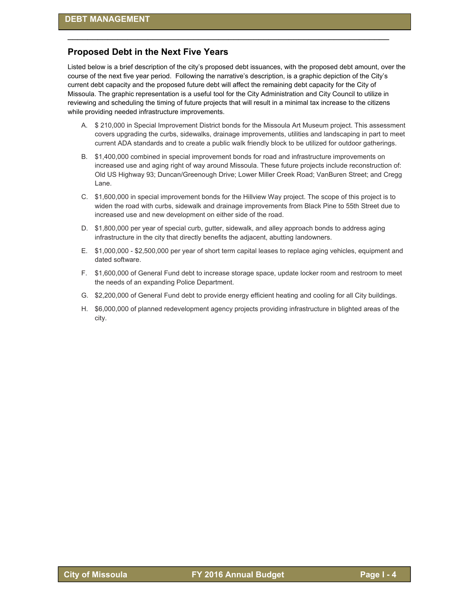## **Proposed Debt in the Next Five Years**

Listed below is a brief description of the city's proposed debt issuances, with the proposed debt amount, over the course of the next five year period. Following the narrative's description, is a graphic depiction of the City's current debt capacity and the proposed future debt will affect the remaining debt capacity for the City of Missoula. The graphic representation is a useful tool for the City Administration and City Council to utilize in reviewing and scheduling the timing of future projects that will result in a minimal tax increase to the citizens while providing needed infrastructure improvements.

\_\_\_\_\_\_\_\_\_\_\_\_\_\_\_\_\_\_\_\_\_\_\_\_\_\_\_\_\_\_\_\_\_\_\_\_\_\_\_\_\_\_\_\_\_\_\_\_\_\_\_\_\_\_\_\_\_\_\_\_\_\_\_\_

- A. \$ 210,000 in Special Improvement District bonds for the Missoula Art Museum project. This assessment covers upgrading the curbs, sidewalks, drainage improvements, utilities and landscaping in part to meet current ADA standards and to create a public walk friendly block to be utilized for outdoor gatherings.
- B. \$1,400,000 combined in special improvement bonds for road and infrastructure improvements on increased use and aging right of way around Missoula. These future projects include reconstruction of: Old US Highway 93; Duncan/Greenough Drive; Lower Miller Creek Road; VanBuren Street; and Cregg Lane.
- C. \$1,600,000 in special improvement bonds for the Hillview Way project. The scope of this project is to widen the road with curbs, sidewalk and drainage improvements from Black Pine to 55th Street due to increased use and new development on either side of the road.
- D. \$1,800,000 per year of special curb, gutter, sidewalk, and alley approach bonds to address aging infrastructure in the city that directly benefits the adjacent, abutting landowners.
- E. \$1,000,000 \$2,500,000 per year of short term capital leases to replace aging vehicles, equipment and dated software.
- F. \$1,600,000 of General Fund debt to increase storage space, update locker room and restroom to meet the needs of an expanding Police Department.
- G. \$2,200,000 of General Fund debt to provide energy efficient heating and cooling for all City buildings.
- H. \$6,000,000 of planned redevelopment agency projects providing infrastructure in blighted areas of the city.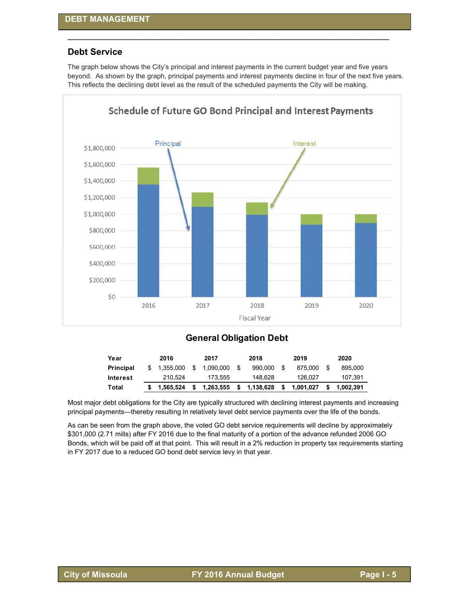## **Debt Service**

The graph below shows the City's principal and interest payments in the current budget year and five years beyond. As shown by the graph, principal payments and interest payments decline in four of the next five years. This reflects the declining debt level as the result of the scheduled payments the City will be making.

\_\_\_\_\_\_\_\_\_\_\_\_\_\_\_\_\_\_\_\_\_\_\_\_\_\_\_\_\_\_\_\_\_\_\_\_\_\_\_\_\_\_\_\_\_\_\_\_\_\_\_\_\_\_\_\_\_\_\_\_\_\_\_\_



# **General Obligation Debt**

| Year             | 2016      |   | 2017      |    | 2018      |      | 2019      | 2020      |
|------------------|-----------|---|-----------|----|-----------|------|-----------|-----------|
| <b>Principal</b> | 1.355.000 | S | 1.090.000 |    | 990.000   | - \$ | 875.000   | 895,000   |
| Interest         | 210.524   |   | 173.555   |    | 148.628   |      | 126.027   | 107.391   |
| Total            | 1.565.524 |   | 1,263,555 | s. | 1,138,628 | - \$ | 1,001,027 | 1.002.391 |

Most major debt obligations for the City are typically structured with declining interest payments and increasing principal payments—thereby resulting in relatively level debt service payments over the life of the bonds.

As can be seen from the graph above, the voted GO debt service requirements will decline by approximately \$301,000 (2.71 mills) after FY 2016 due to the final maturity of a portion of the advance refunded 2006 GO Bonds, which will be paid off at that point. This will result in a 2% reduction in property tax requirements starting in FY 2017 due to a reduced GO bond debt service levy in that year.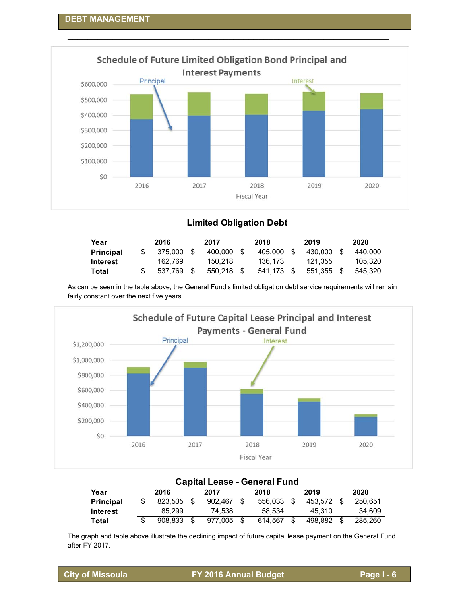

# **Limited Obligation Debt**

| Year             | 2016    |      | 2017    | 2018    |      | 2019    |      | 2020    |
|------------------|---------|------|---------|---------|------|---------|------|---------|
| <b>Principal</b> | 375,000 | - \$ | 400.000 | 405.000 | - \$ | 430.000 |      | 440.000 |
| Interest         | 162.769 |      | 150.218 | 136.173 |      | 121.355 |      | 105.320 |
| Total            | 537.769 | - \$ | 550.218 | 541.173 | - \$ | 551.355 | - \$ | 545.320 |

As can be seen in the table above, the General Fund's limited obligation debt service requirements will remain fairly constant over the next five years.



|                  |    |         |      |         | <b>Capital Lease - General Fund</b> |    |         |      |         |
|------------------|----|---------|------|---------|-------------------------------------|----|---------|------|---------|
| Year             |    | 2016    |      | 2017    | 2018                                |    | 2019    |      | 2020    |
| <b>Principal</b> | S  | 823.535 | - \$ | 902.467 | 556.033                             | -S | 453.572 | - \$ | 250.651 |
| Interest         |    | 85.299  |      | 74.538  | 58.534                              |    | 45.310  |      | 34.609  |
| Total            | \$ | 908.833 | \$.  | 977.005 | 614.567                             | \$ | 498.882 | - \$ | 285.260 |

The graph and table above illustrate the declining impact of future capital lease payment on the General Fund after FY 2017.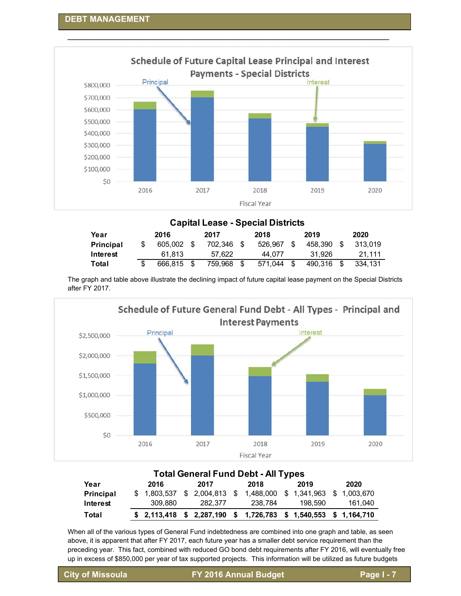

\_\_\_\_\_\_\_\_\_\_\_\_\_\_\_\_\_\_\_\_\_\_\_\_\_\_\_\_\_\_\_\_\_\_\_\_\_\_\_\_\_\_\_\_\_\_\_\_\_\_\_\_\_\_\_\_\_\_\_\_\_\_\_\_

## **Capital Lease - Special Districts**

| Year             | 2016    |      | 2017    | 2018    |      | 2019    |      | 2020    |
|------------------|---------|------|---------|---------|------|---------|------|---------|
| <b>Principal</b> | 605.002 | - \$ | 702.346 | 526.967 | - \$ | 458.390 | - \$ | 313.019 |
| Interest         | 61.813  |      | 57.622  | 44.077  |      | 31.926  |      | 21.111  |
| Total            | 666.815 |      | 759.968 | 571.044 | - \$ | 490.316 |      | 334.131 |

The graph and table above illustrate the declining impact of future capital lease payment on the Special Districts after FY 2017.



| <b>Total General Fund Debt - All Types</b> |  |             |  |         |  |                                                                  |  |         |         |
|--------------------------------------------|--|-------------|--|---------|--|------------------------------------------------------------------|--|---------|---------|
| Year                                       |  | 2016        |  | 2017    |  | 2018                                                             |  | 2019    | 2020    |
| Principal                                  |  | \$1,803,537 |  |         |  | $$2,004,813$ $$1,488,000$ $$1,341,963$ $$1,003,670$              |  |         |         |
| Interest                                   |  | 309.880     |  | 282.377 |  | 238.784                                                          |  | 198.590 | 161,040 |
| Total                                      |  |             |  |         |  | $$2,113,418$ $$2,287,190$ $$1,726,783$ $$1,540,553$ $$1,164,710$ |  |         |         |

When all of the various types of General Fund indebtedness are combined into one graph and table, as seen above, it is apparent that after FY 2017, each future year has a smaller debt service requirement than the preceding year. This fact, combined with reduced GO bond debt requirements after FY 2016, will eventually free up in excess of \$850,000 per year of tax supported projects. This information will be utilized as future budgets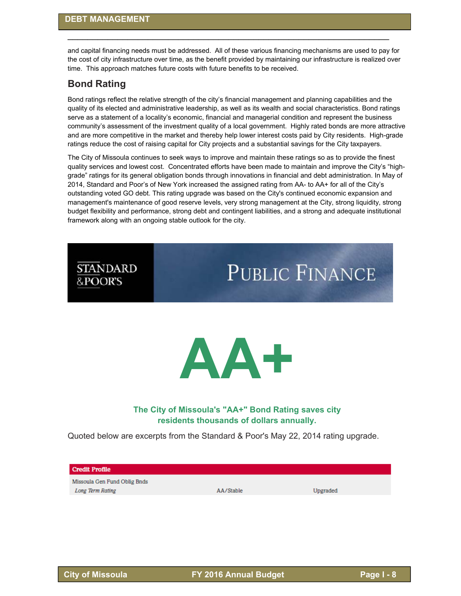and capital financing needs must be addressed. All of these various financing mechanisms are used to pay for the cost of city infrastructure over time, as the benefit provided by maintaining our infrastructure is realized over time. This approach matches future costs with future benefits to be received.

\_\_\_\_\_\_\_\_\_\_\_\_\_\_\_\_\_\_\_\_\_\_\_\_\_\_\_\_\_\_\_\_\_\_\_\_\_\_\_\_\_\_\_\_\_\_\_\_\_\_\_\_\_\_\_\_\_\_\_\_\_\_\_\_

# **Bond Rating**

**STANDARD** 

&POOR'S

Bond ratings reflect the relative strength of the city's financial management and planning capabilities and the quality of its elected and administrative leadership, as well as its wealth and social characteristics. Bond ratings serve as a statement of a locality's economic, financial and managerial condition and represent the business community's assessment of the investment quality of a local government. Highly rated bonds are more attractive and are more competitive in the market and thereby help lower interest costs paid by City residents. High-grade ratings reduce the cost of raising capital for City projects and a substantial savings for the City taxpayers.

The City of Missoula continues to seek ways to improve and maintain these ratings so as to provide the finest quality services and lowest cost. Concentrated efforts have been made to maintain and improve the City's "highgrade" ratings for its general obligation bonds through innovations in financial and debt administration. In May of 2014, Standard and Poor's of New York increased the assigned rating from AA- to AA+ for all of the City's outstanding voted GO debt. This rating upgrade was based on the City's continued economic expansion and management's maintenance of good reserve levels, very strong management at the City, strong liquidity, strong budget flexibility and performance, strong debt and contingent liabilities, and a strong and adequate institutional framework along with an ongoing stable outlook for the city.



# **The City of Missoula's "AA+" Bond Rating saves city residents thousands of dollars annually.**

Quoted below are excerpts from the Standard & Poor's May 22, 2014 rating upgrade.

#### **Credit Profile**

Missoula Gen Fund Oblig Bnds **Long Term Rating** 

AA/Stable

Upgraded

**PUBLIC FINANCE**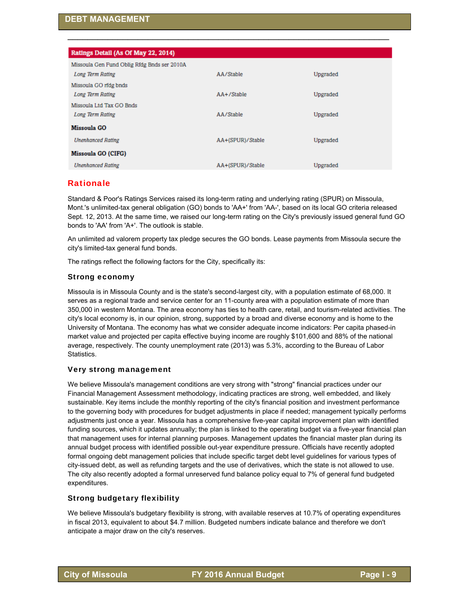| Ratings Detail (As Of May 22, 2014)         |                  |          |
|---------------------------------------------|------------------|----------|
|                                             |                  |          |
| Missoula Gen Fund Oblig Rfdg Bnds ser 2010A |                  |          |
| Long Term Rating                            | AA/Stable        | Upgraded |
| Missoula GO rfdg bnds                       |                  |          |
| Long Term Rating                            | $AA + /$ Stable  | Upgraded |
| Missoula Ltd Tax GO Bnds                    |                  |          |
| Long Term Rating                            | AA/Stable        | Upgraded |
| <b>Missoula GO</b>                          |                  |          |
| <b>Unenhanced Rating</b>                    | AA+(SPUR)/Stable | Upgraded |
| Missoula GO (CIFG)                          |                  |          |
| <b>Unenhanced Rating</b>                    | AA+(SPUR)/Stable | Upgraded |

\_\_\_\_\_\_\_\_\_\_\_\_\_\_\_\_\_\_\_\_\_\_\_\_\_\_\_\_\_\_\_\_\_\_\_\_\_\_\_\_\_\_\_\_\_\_\_\_\_\_\_\_\_\_\_\_\_\_\_\_\_\_\_\_

# **Rationale**

Standard & Poor's Ratings Services raised its long-term rating and underlying rating (SPUR) on Missoula, Mont.'s unlimited-tax general obligation (GO) bonds to 'AA+' from 'AA-', based on its local GO criteria released Sept. 12, 2013. At the same time, we raised our long-term rating on the City's previously issued general fund GO bonds to 'AA' from 'A+'. The outlook is stable.

An unlimited ad valorem property tax pledge secures the GO bonds. Lease payments from Missoula secure the city's limited-tax general fund bonds.

The ratings reflect the following factors for the City, specifically its:

## Strong economy

Missoula is in Missoula County and is the state's second-largest city, with a population estimate of 68,000. It serves as a regional trade and service center for an 11-county area with a population estimate of more than 350,000 in western Montana. The area economy has ties to health care, retail, and tourism-related activities. The city's local economy is, in our opinion, strong, supported by a broad and diverse economy and is home to the University of Montana. The economy has what we consider adequate income indicators: Per capita phased-in market value and projected per capita effective buying income are roughly \$101,600 and 88% of the national average, respectively. The county unemployment rate (2013) was 5.3%, according to the Bureau of Labor Statistics.

## Very strong management

We believe Missoula's management conditions are very strong with "strong" financial practices under our Financial Management Assessment methodology, indicating practices are strong, well embedded, and likely sustainable. Key items include the monthly reporting of the city's financial position and investment performance to the governing body with procedures for budget adjustments in place if needed; management typically performs adjustments just once a year. Missoula has a comprehensive five-year capital improvement plan with identified funding sources, which it updates annually; the plan is linked to the operating budget via a five-year financial plan that management uses for internal planning purposes. Management updates the financial master plan during its annual budget process with identified possible out-year expenditure pressure. Officials have recently adopted formal ongoing debt management policies that include specific target debt level guidelines for various types of city-issued debt, as well as refunding targets and the use of derivatives, which the state is not allowed to use. The city also recently adopted a formal unreserved fund balance policy equal to 7% of general fund budgeted expenditures.

## Strong budgetary flexibility

We believe Missoula's budgetary flexibility is strong, with available reserves at 10.7% of operating expenditures in fiscal 2013, equivalent to about \$4.7 million. Budgeted numbers indicate balance and therefore we don't anticipate a major draw on the city's reserves.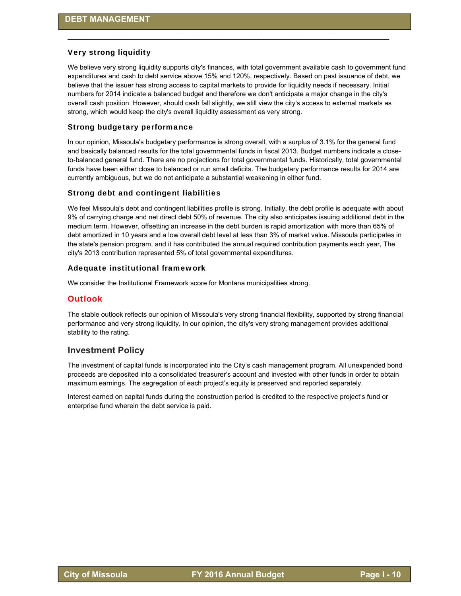### Very strong liquidity

We believe very strong liquidity supports city's finances, with total government available cash to government fund expenditures and cash to debt service above 15% and 120%, respectively. Based on past issuance of debt, we believe that the issuer has strong access to capital markets to provide for liquidity needs if necessary. Initial numbers for 2014 indicate a balanced budget and therefore we don't anticipate a major change in the city's overall cash position. However, should cash fall slightly, we still view the city's access to external markets as strong, which would keep the city's overall liquidity assessment as very strong.

\_\_\_\_\_\_\_\_\_\_\_\_\_\_\_\_\_\_\_\_\_\_\_\_\_\_\_\_\_\_\_\_\_\_\_\_\_\_\_\_\_\_\_\_\_\_\_\_\_\_\_\_\_\_\_\_\_\_\_\_\_\_\_\_

#### Strong budgetary performance

In our opinion, Missoula's budgetary performance is strong overall, with a surplus of 3.1% for the general fund and basically balanced results for the total governmental funds in fiscal 2013. Budget numbers indicate a closeto-balanced general fund. There are no projections for total governmental funds. Historically, total governmental funds have been either close to balanced or run small deficits. The budgetary performance results for 2014 are currently ambiguous, but we do not anticipate a substantial weakening in either fund.

#### Strong debt and contingent liabilities

We feel Missoula's debt and contingent liabilities profile is strong. Initially, the debt profile is adequate with about 9% of carrying charge and net direct debt 50% of revenue. The city also anticipates issuing additional debt in the medium term. However, offsetting an increase in the debt burden is rapid amortization with more than 65% of debt amortized in 10 years and a low overall debt level at less than 3% of market value. Missoula participates in the state's pension program, and it has contributed the annual required contribution payments each year, The city's 2013 contribution represented 5% of total governmental expenditures.

#### Adequate institutional framework

We consider the Institutional Framework score for Montana municipalities strong.

#### **Outlook**

The stable outlook reflects our opinion of Missoula's very strong financial flexibility, supported by strong financial performance and very strong liquidity. In our opinion, the city's very strong management provides additional stability to the rating.

#### **Investment Policy**

The investment of capital funds is incorporated into the City's cash management program. All unexpended bond proceeds are deposited into a consolidated treasurer's account and invested with other funds in order to obtain maximum earnings. The segregation of each project's equity is preserved and reported separately.

Interest earned on capital funds during the construction period is credited to the respective project's fund or enterprise fund wherein the debt service is paid.